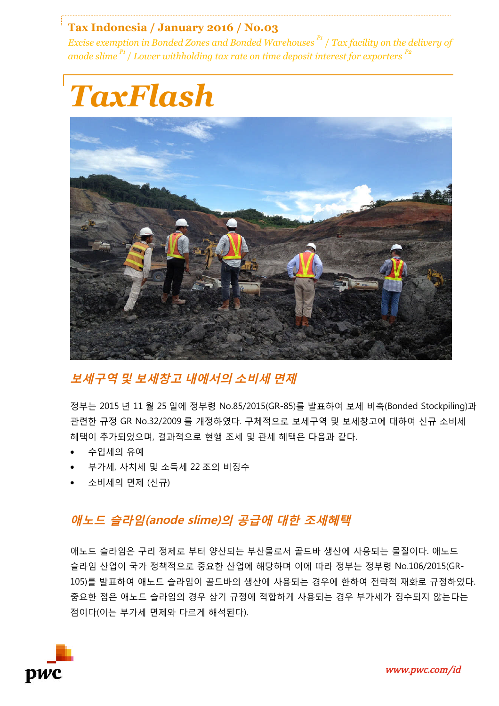#### **Tax Indonesia / January 2016 / No.03**

*Excise exemption in Bonded Zones and Bonded Warehouses P1* / *Tax facility on the delivery of anode slime* <sup>*P1</sup>* / *Lower withholding tax rate on time deposit interest for exporters* <sup>*P2</sup>*</sup></sup>



## **보세구역 및 보세창고 내에서의 소비세 면제**

정부는 2015 년 11 월 25 일에 정부령 No.85/2015(GR-85)를 발표하여 보세 비축(Bonded Stockpiling)과 관련한 규정 GR No.32/2009 를 개정하였다. 구체적으로 보세구역 및 보세창고에 대하여 신규 소비세 혜택이 추가되었으며, 결과적으로 현행 조세 및 관세 혜택은 다음과 같다.

- 수입세의 유예
- 부가세, 사치세 및 소득세 22 조의 비징수
- 소비세의 면제 (신규)

## **애노드 슬라임(anode slime)의 공급에 대한 조세혜택**

애노드 슬라임은 구리 정제로 부터 양산되는 부산물로서 골드바 생산에 사용되는 물질이다. 애노드 슬라임 산업이 국가 정책적으로 중요한 산업에 해당하며 이에 따라 정부는 정부령 No.106/2015(GR-105)를 발표하여 애노드 슬라임이 골드바의 생산에 사용되는 경우에 한하여 전략적 재화로 규정하였다. 중요한 점은 애노드 슬라임의 경우 상기 규정에 적합하게 사용되는 경우 부가세가 징수되지 않는다는 점이다(이는 부가세 면제와 다르게 해석된다).

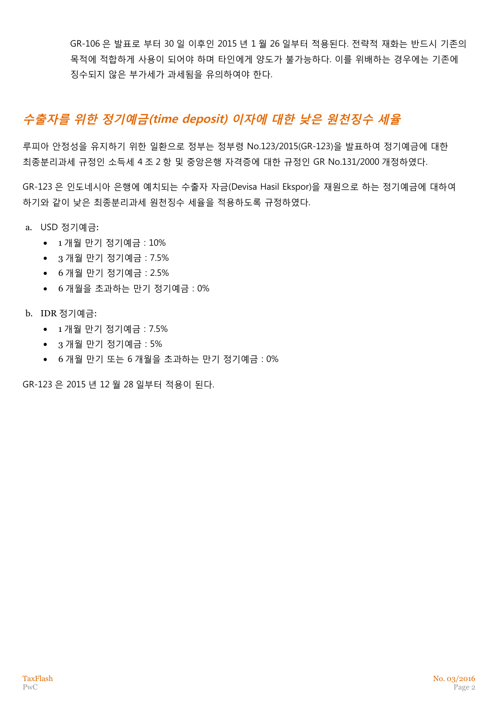GR-106 은 발표로 부터 30 일 이후인 2015 년 1 월 26 일부터 적용된다. 전략적 재화는 반드시 기존의 목적에 적합하게 사용이 되어야 하며 타인에게 양도가 불가능하다. 이를 위배하는 경우에는 기존에 징수되지 않은 부가세가 과세됨을 유의하여야 한다.

# **수출자를 위한 정기예금(time deposit) 이자에 대한 낮은 원천징수 세율**

루피아 안정성을 유지하기 위한 일환으로 정부는 정부령 No.123/2015(GR-123)을 발표하여 정기예금에 대한 최종분리과세 규정인 소득세 4 조 2 항 및 중앙은행 자격증에 대한 규정인 GR No.131/2000 개정하였다.

GR-123 은 인도네시아 은행에 예치되는 수출자 자금(Devisa Hasil Ekspor)을 재원으로 하는 정기예금에 대하여 하기와 같이 낮은 최종분리과세 원천징수 세율을 적용하도록 규정하였다.

- a. USD 정기예금:
	- 1 개월 만기 정기예금 : 10%
	- 3 개월 만기 정기예금 : 7.5%
	- 6 개월 만기 정기예금 : 2.5%
	- 6 개월을 초과하는 만기 정기예금 : 0%
- b. IDR 정기예금:
	- 1 개월 만기 정기예금 : 7.5%
	- 3 개월 만기 정기예금 : 5%
	- 6 개월 만기 또는 6 개월을 초과하는 만기 정기예금 : 0%

GR-123 은 2015 년 12 월 28 일부터 적용이 된다.